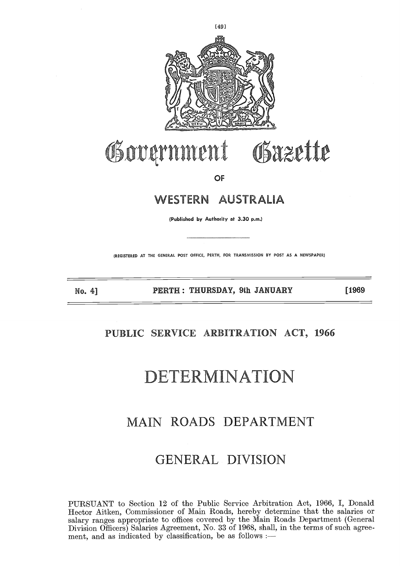

# Osazette Government

**OF**

### **WESTERN AUSTRALIA**

**(Published by Authority at 3.30 p.m.)**

(REGISTERED AT THE GENERAL POST OFFICE, PERTH, FOR TRANSMISSION BY POST AS A NEWSPAPER)

**No. 4] PERTH : THURSDAY, 9th JANUARY [1969**

### **PUBLIC SERVICE ARBITRATION ACT, 1966**

# DETERMINATION

### MAIN ROADS DEPARTMENT

## GENERAL DIVISION

PURSUANT to Section 12 of the Public Service Arbitration Act, 1966, I, Donald Hector Aitken, Commissioner of Main Roads, hereby determine that the salaries or salary ranges appropriate to offices covered by the Main Roads Department (General Division Officers) Salaries Agreement, No. 33 of 1968, shall, in the terms of such agreement, and as indicated by classification, be as follows :-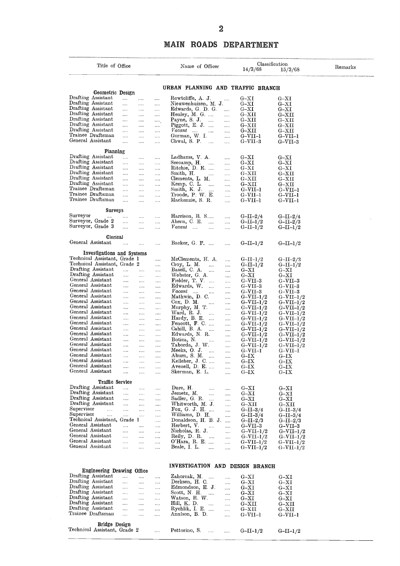#### **MAIN ROADS DEPARTMENT**

|                                                            |                      |                                              |                             |                                           | $\overline{2}$       |                                   |                                        |         |
|------------------------------------------------------------|----------------------|----------------------------------------------|-----------------------------|-------------------------------------------|----------------------|-----------------------------------|----------------------------------------|---------|
|                                                            |                      |                                              | MAIN                        | <b>ROADS</b>                              |                      | <b>DEPARTMENT</b>                 |                                        |         |
|                                                            |                      |                                              |                             |                                           |                      |                                   |                                        |         |
| Title of Office                                            |                      |                                              |                             | Name of Officer                           |                      | Classification<br>14/3/68         | 15/3/68                                | Remarks |
|                                                            |                      |                                              |                             |                                           |                      |                                   |                                        |         |
| Geometric Design                                           |                      |                                              |                             |                                           |                      | URBAN PLANNING AND TRAFFIC BRANCH |                                        |         |
| Drafting Assistant<br>Drafting Assistant                   | $\cdots$             | $\cdots$<br>$\cdots$                         |                             | Rowtcliffe, A. J.                         | $\cdots$             | $_{\rm G-XI}$                     | G–XI                                   |         |
| Drafting Assistant                                         | <br>                 | <br><br><br>                                 |                             | Nieuwenhuizen, M. J.<br>Edwards, G. D. G. | $\cdots$             | $G-XT$<br>$G-XI$                  | $_{\rm G-XI}$<br>$_{\rm G-XI}$         |         |
| Drafting Assistant                                         | $\cdots$             | .<br>                                        |                             | Henley, M. G.                             |                      | $_{\mathrm{G-XII}}$               | $_{\mathrm{G-XII}}$                    |         |
| Drafting Assistant<br>Drafting Assistant                   | $\cdots$             | <br>                                         |                             | Payne, S. J. $\ldots$                     | $\cdots$             | $G-XXII$                          | $G-XII$                                |         |
| Drafting Assistant                                         | $\cdots$<br>$\cdots$ | $\cdots$<br>$\cdots$<br>$\cdots$<br>         | Vacant                      | Piggott, E. J.<br>$\ldots$                | <br>                 | $_{\mathrm{G-XII}}$<br>$G-XXII$   | $_{\mathrm{G-XII}}$<br>$_{\rm{G-XII}}$ |         |
| Trainee Draftsman                                          | $\cdots$             | <br>                                         |                             | Gorman, W. I.                             | $\ldots$             | $G-VII-1$                         | $G-VII-1$                              |         |
| General Assistant                                          | $\cdots$             | $\cdots$<br>                                 | Chwal, S. P.                | $\cdots$                                  | $\cdots$             | $G-VII-3$                         | $G-VII-3$                              |         |
| Planning                                                   |                      |                                              |                             |                                           |                      |                                   |                                        |         |
| Drafting Assistant                                         | $\cdots$             | <br>.                                        |                             | Ladhams, V. A.                            |                      | $G-{\rm XI}$                      | $_{\rm G-XI}$                          |         |
| Drafting Assistant<br>Drafting Assistant                   | <br>$\cdots$         | $\cdots$<br>$\cdots$<br>$\cdots$<br>$\ldots$ | Seecamp, H.                 | $\cdots$<br>Ritchie, D. E.                | $\ldots$<br>         | $G-XI$<br>$G-XI$                  | $G-XI$<br>$G-XI$                       |         |
| Drafting Assistant                                         | $\cdots$             | $\cdots$<br>                                 | Smith, H.                   | $\cdots$                                  |                      | $G-XXII$                          | $G- XII$                               |         |
| Drafting Assistant                                         | $\cdots$             | $\cdots$<br>$\cdots$                         |                             | Clements, L. M.                           | $\cdots$             | $G-XII$                           | $G- XII$                               |         |
| Drafting Assistant<br>Trainee Draftsman                    | $\cdots$<br>         | $\cdots$<br>$\cdots$<br>$\cdots$<br>$\cdots$ | Kemp, C. L.<br>Smith, K. J. | <br>.                                     | <br>                 | $G-XII$<br>$G-VII-1$              | $_{\rm G-XII}$<br>$G-VII-1$            |         |
| Trainee Draftsman                                          | .                    | $\ldots$ .<br>$\cdots$                       |                             | Troode, P. W. E.                          | $\cdots$             | $G-VII-1$                         | $G-VII-1$                              |         |
| Trainee Draftsman                                          | $\cdots$             | $\cdots$<br>$\cdots$                         |                             | Mackenzie, S. R.                          |                      | $G-VII-1$                         | $G-VII-1$                              |         |
| Surveys                                                    |                      |                                              |                             |                                           |                      |                                   |                                        |         |
| Surveyor                                                   |                      | <br>                                         |                             | Harrison, R. S                            |                      | $G-II-2/4$                        | $G-II-2/4$                             |         |
| Surveyor, Grade 2<br>Surveyor, Grade 3                     | $\cdots$<br>         | <br>.<br>.<br>                               | Ahern, C. E.<br>$Vacant$    | $\cdots$<br>                              | .<br>                | $G-II-I/2$<br>$G-II-I/2$          | $G-II-2/3$<br>$G-II-I/2$               |         |
|                                                            |                      |                                              |                             |                                           |                      |                                   |                                        |         |
| Clerical<br>General Assistant                              |                      | .                                            |                             | Backer, G. F.                             |                      | $G-II-I/2$                        | $G-II-I/2$                             |         |
|                                                            |                      |                                              |                             |                                           |                      |                                   |                                        |         |
| Investigations and Systems<br>Technical Assistant, Grade 1 |                      |                                              |                             |                                           |                      |                                   |                                        |         |
| Technical Assistant, Grade 2                               |                      | .<br>.                                       | Croy, L. M.                 | McClements, H. A.<br>$\cdots$             | .<br>.               | $G-II-I/2$<br>$G-II-I/2$          | $G-II-2/3$<br>$G-II-I/2$               |         |
| Drafting Assistant                                         | in a                 | $\cdots$<br>$\ldots$                         | Basell, C. A.               | $\sim$                                    |                      | $G-XI$                            | $_{\rm G-XI}$                          |         |
| Drafting Assistant<br>General Assistant                    | $\cdots$             | .<br>                                        |                             | Webster, G. A.                            | $\cdots$             | G–XI                              | $_{\rm G-XI}$                          |         |
| General Assistant                                          | $\cdots$<br>$\cdots$ | <br>$\cdots$<br>$\cdots$<br>$\cdots$         |                             | Fielder, T. V.<br>Edwards, W.<br>$\cdots$ | <br>                 | $G-VII-3$<br>G–VII–3              | $_{\mathrm{G-VII-3}}$<br>G–VII–3       |         |
| General Assistant                                          | $\ldots$             | <br>                                         |                             | Vacant<br>$\ldots$                        | $\dots$              | $G-VII-3$                         | $G - V11 - 3$                          |         |
| General Assistant<br>General Assistant                     | $\cdots$             | <br>                                         |                             | Mathwin, D. C.                            |                      | $G-VII-1/2$                       | $G-VII-1/2$                            |         |
| General Assistant                                          | $\cdots$<br>$\ldots$ | $\ldots$<br>$\cdots$<br><br>                 | $Cox$ , D. M.               | $\sim$<br>Murphy, M. T.                   | $\cdots$<br>$\cdots$ | $G-VII-1/2$<br>$G-VII-1/2$        | $G-VII-1/2$<br>$G-VII-1/2$             |         |
| General Assistant                                          |                      | $\cdots$<br>.                                | Ward, R. J.                 | $\sim$                                    | $\cdots$             | $G-VII-1/2$                       | $G-VII-1/2$                            |         |
| General Assistant<br>General Assistant                     |                      | $\cdots$<br>                                 |                             | Hardy, B. E.<br>Fencott, F. C             |                      | $G-VII-1/2$                       | $G-VII-1/2$                            |         |
| General Assistant                                          | $\ldots$<br>         | <br><br>$\cdots$<br>$\ldots$                 |                             | Cahill, B. A.<br>$\sim 100$               | <br>                 | $G-VII-1/2$<br>$G-VII-1/2$        | $G-VII-1/2$<br>$G-VII-1/2$             |         |
| General Assistant                                          | $\cdots$             | $\sim$ .<br>$\cdots$                         |                             | Edwards, N. R.                            | .                    | $G-VII-1/2$                       | $G-VII-1/2$                            |         |
| General Assistant<br>General Assistant                     | $\cdots$<br>$\ldots$ | $\ldots$ .<br><br>$\cdots$<br>$\cdots$       | Botica, N.                  | $\cdots$<br>Taborda, J. W.                | <br>$\ldots$         | $G-VII-1/2$<br>$G-VII-1/2$        | $G-VII-1/2$<br>$G-VII-1/2$             |         |
| General Assistant                                          | $\cdots$             | $\ldots$<br>                                 | Meeks, O. J.                | $\sim$                                    | $\cdots$             | $G-VII-1$                         | G-VII-1                                |         |
| General Assistant<br>General Assistant                     | $\cdots$             | $\ldots$<br>                                 |                             | Aburn, S. M.                              | $\cdots$             | $G-IX$                            | $G-IX$                                 |         |
| General Assistant                                          | .<br>                | $\cdots$<br>$\cdots$<br>$\sim$<br>           |                             | Kelleher, J. C.<br>Avenell, $D.E.$        | <br>                 | $_{\rm G-IX}$<br>$G-IX$           | $_{\rm 6-X}$<br>$_{\rm G-IX}$          |         |
| General Assistant                                          | .                    | $\ldots$<br>.                                |                             | Skerman, E. L.                            | $\cdots$             | $G-IX$                            | $_{\rm G-IX}$                          |         |
| Traffic Service                                            |                      |                                              |                             |                                           |                      |                                   |                                        |         |
| Drafting Assistant                                         | $\cdots$             | <br>                                         | Dure, H.                    | $\cdots$                                  |                      | $G-XI$                            | $G-{\rm XI}$                           |         |
| Drafting Assistant<br>Drafting Assistant                   | $\cdots$             | .<br>$\cdots$                                | Jemetz, M.                  | $\cdots$                                  | $\cdots$             | $G-XI$                            | $G-XI$                                 |         |
| Drafting Assistant                                         | $\ldots$<br>$\ldots$ | $\cdots$<br>$\cdots$<br>$\cdots$<br>$\ldots$ |                             | Sadler, G. R.<br>Whitworth, M. J.         | $\cdots$<br>$\cdots$ | $G-XI$<br>$G-XXII$                | $G-XI$<br>$G- XII$                     |         |
| Supervisor<br>$\cdots$                                     | .                    | $\bar{\omega}$ .<br>$\ldots$                 |                             | Fox, G. J. H. $\ldots$                    | .                    | $G-II-3/4$                        | $G-II-3/4$                             |         |
| Supervisor<br>$\ldots$<br>Technical Assistant, Grade 1     |                      | <br>$\sim$                                   |                             | Williams, D. H.<br>Donaldson, H. B. J.    | in.                  | $G-II-3/4$                        | $G-II-3/4$                             |         |
| General Assistant                                          | $\cdots$             | $\ldots$<br><br>$\cdots$                     | Herbert, V.                 | $\cdots$                                  | $\cdots$<br>$\cdots$ | $G-II-2/3$<br>$G-VII-3$           | $G-II-2/3$<br>$G-VII-3$                |         |
| General Assistant                                          | $\cdots$             | $\ldots$<br>$\ldots$                         |                             | Nicholas, R. J.                           | $\sim$               | $G-VII-1/2$                       | $G-VII-1/2$                            |         |
| General Assistant<br>General Assistant                     | $\cdots$<br>$\ldots$ | $\cdots$<br>$\ldots$<br>$\cdots$<br>$\cdots$ | Reily, D. R.                | $\cdots$<br>$O'Hara$ , R. E.              | $\cdots$<br>$\cdots$ | $G-VII-1/2$<br>$G-VII-1/2$        | $G-VII-1/2$<br>$G-VII-1/2$             |         |
| General Assistant                                          | $\cdots$             | $\cdots$<br>$\cdots$                         | Beale, I. L.                | $\cdots$                                  | $\cdots$             | $G-VII-1/2$                       | $G-VII-1/2$                            |         |
|                                                            |                      |                                              |                             |                                           |                      |                                   |                                        |         |
|                                                            |                      |                                              |                             |                                           |                      |                                   |                                        |         |
| Engineering Drawing Office                                 |                      |                                              |                             |                                           |                      | INVESTIGATION AND DESIGN BRANCH   |                                        |         |
| Drafting Assistant                                         | $\cdots$             | $\cdots$<br>                                 |                             | Zahorcak, M.<br>$\ldots$                  |                      | $G-XI$                            | $G-XI$                                 |         |
| Drafting Assistant<br>Drafting Assistant                   | $\ldots$<br>$\sim$ . | $\cdots$<br><br>$\ldots$<br>$\cdots$         |                             | Derksen, H. C.<br>Edmondson, E. J.        | <br>$\cdots$         | $G-XI$<br>$G-XI$                  | $G-XI$<br>$G-XI$                       |         |
| Drafting Assistant                                         | $\cdots$             | $\ldots$<br>$\cdots$                         |                             | Scott, $N. H$                             |                      | $G-XI$                            | $G-XI$                                 |         |
| Drafting Assistant                                         | $\cdots$             | <br>$\cdots$                                 |                             | Watson, R. W.                             |                      | $G-XI$                            | $G-XI$                                 |         |
| Drafting Assistant<br>Drafting Assistant                   | $\ldots$<br>$\cdots$ | $\cdots$<br>$\ldots$<br>$\cdots$<br>         | Hill, K. D.                 | $\ldots$<br>Rychlik, I. E.                | $\cdots$<br>$\cdots$ | $G- XII$<br>$G-XII$               | $G-XII$<br>$_{\mathrm{G-XII}}$         |         |
| Trainee Draftsman                                          | $\cdots$             | $\cdots$<br>$\cdots$                         |                             | Annison, B. D.                            | $\mathbf{1}$         | $G-VII-1$                         | $G-VII-1$                              |         |
| Bridge Design                                              |                      |                                              |                             |                                           |                      |                                   |                                        |         |
| Technical Assistant, Grade 2                               |                      |                                              | Pettorino, S.               | $\cdots$                                  | $\ldots$ .           | $G-II-1/2$                        | $G-II-I/2$                             |         |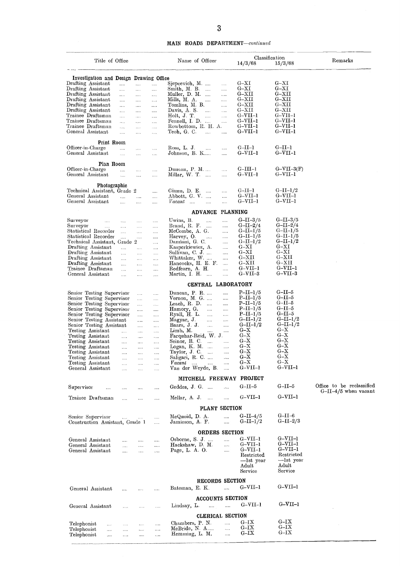#### **MAIN ROADS DEPARTMENT—continued**

|                                                                                                                                                                                                                                                                                                                                                                               |                                                                                                                                                                  |                                                                                                                                                                                  |                                                                                                                                                                          | 3                                                                                                                                                                                                                                                                                                                                                         |                                                                                                                                         |                                                                                                                                                                                        |                                                                                                                                                                                |                           |
|-------------------------------------------------------------------------------------------------------------------------------------------------------------------------------------------------------------------------------------------------------------------------------------------------------------------------------------------------------------------------------|------------------------------------------------------------------------------------------------------------------------------------------------------------------|----------------------------------------------------------------------------------------------------------------------------------------------------------------------------------|--------------------------------------------------------------------------------------------------------------------------------------------------------------------------|-----------------------------------------------------------------------------------------------------------------------------------------------------------------------------------------------------------------------------------------------------------------------------------------------------------------------------------------------------------|-----------------------------------------------------------------------------------------------------------------------------------------|----------------------------------------------------------------------------------------------------------------------------------------------------------------------------------------|--------------------------------------------------------------------------------------------------------------------------------------------------------------------------------|---------------------------|
|                                                                                                                                                                                                                                                                                                                                                                               |                                                                                                                                                                  |                                                                                                                                                                                  |                                                                                                                                                                          | <b>MAIN ROADS DEPARTMENT</b> —continued                                                                                                                                                                                                                                                                                                                   |                                                                                                                                         |                                                                                                                                                                                        |                                                                                                                                                                                |                           |
| Title of Office                                                                                                                                                                                                                                                                                                                                                               |                                                                                                                                                                  |                                                                                                                                                                                  |                                                                                                                                                                          | Name of Officer                                                                                                                                                                                                                                                                                                                                           |                                                                                                                                         | 14/3/68                                                                                                                                                                                | Classification<br>15/3/68                                                                                                                                                      | Remarks                   |
| Investigation and Design Drawing Office                                                                                                                                                                                                                                                                                                                                       |                                                                                                                                                                  |                                                                                                                                                                                  |                                                                                                                                                                          |                                                                                                                                                                                                                                                                                                                                                           |                                                                                                                                         |                                                                                                                                                                                        |                                                                                                                                                                                |                           |
| Drafting Assistant<br>Drafting Assistant<br>Drafting Assistant<br>Drafting Assistant<br>Drafting Assistant<br>Drafting Assistant<br>Trainee Draftsman<br>Trainee Draftsman<br>Trainee Draftsman<br>General Assistant                                                                                                                                                          | $\mathbf{1}$<br>$\cdots$<br>$\ldots$<br>$\cdots$<br>$\ldots$<br>$\cdots$<br>$\cdots$<br>$\ldots$<br>$\mathcal{L}_{\mathbf{r},\mathbf{r},\mathbf{r}}$<br>$\cdots$ | $\ldots$<br><br>$\ldots$<br>$\ldots$<br>$\ldots$<br>$\ldots$<br>$\cdots$<br>$\ddotsc$<br>$\ldots$<br>$\cdots$                                                                    | $\ldots$<br>$\ldots$<br>$\cdots$<br>$\cdots$<br>$\ldots$<br>$\ldots$<br>$\ddotsc$<br>$\cdots$<br>$\mathcal{L}_{\mathbf{A},\mathbf{A},\mathbf{A}}$<br>$\ldots$            | Sjepcevich, M.<br>Smith, M. B.<br>$\mathcal{L}$<br>Muller, $D. M.$<br>Mills, M. A.<br>$\cdots$<br>Tomlins, M. B.<br>Davis, A. S.<br>$\cdots$<br>Holt, J. T.<br>$\ddotsc$<br>Fennell, I. D.<br>Rowbottom, R. H. A.<br>Teoh, G. C.<br>.                                                                                                                     | .<br><br>$\cdots$<br>.<br><br>$\cdots$<br>$\cdots$<br><br>.                                                                             | $G-{\rm XI}$<br>$G-XI$<br>$_{\rm{G-XII}}$<br>$_{\mathrm{G-XII}}$<br>$G-XII$<br>$_{\rm G-XII}$<br>$G-VII-1$<br>$G-VII-1$<br>$G-VII-1$<br>$G-VII-1$                                      | $G-XI$<br>$G-XI$<br>$_{\rm G-XII}$<br>$G-XXII$<br>$G-XII$<br>$G-XII$<br>$G-VII-1$<br>$G-VII-1$<br>$G-VII-1$<br>$G-VII-1$                                                       |                           |
| Print Room<br>Officer-in-Charge<br>General Assistant                                                                                                                                                                                                                                                                                                                          | <br>$\ddotsc$                                                                                                                                                    | $\cdots$<br>$\cdots$                                                                                                                                                             | $\ddotsc$<br>$\cdots$                                                                                                                                                    | Ross, L. J.<br>$\cdots$<br>Johnson, B. K                                                                                                                                                                                                                                                                                                                  | <br>$\cdots$                                                                                                                            | $G-II-I$<br>$G-VII-1$                                                                                                                                                                  | $G-II-1$<br>$G-VII-1$                                                                                                                                                          |                           |
| Plan Room<br>Officer-in-Charge<br>General Assistant                                                                                                                                                                                                                                                                                                                           | ia.<br>$\ldots$                                                                                                                                                  | $\cdots$<br>$\ddotsc$                                                                                                                                                            | $\cdots$<br>$\cdots$                                                                                                                                                     | Dimean, $P. M. \ldots$<br>Millar, $W$ . T.                                                                                                                                                                                                                                                                                                                | .<br>                                                                                                                                   | $G-III-1$<br>$G-VII-1$                                                                                                                                                                 | $G-VII-3(F)$<br>$G-VII-1$                                                                                                                                                      |                           |
| Photographic<br>Technical Assistant, Grade 2<br>General Assistant<br>General Assistant                                                                                                                                                                                                                                                                                        | $\ddotsc$<br>$\cdots$                                                                                                                                            | $\cdots$<br>$\cdots$                                                                                                                                                             | <br>$\cdots$<br>                                                                                                                                                         | Gimm, D. E.<br>$\cdots$<br>Abbott, G. V.<br>Vacant<br>$\dddotsc$<br>$\cdots$                                                                                                                                                                                                                                                                              | .<br><br>.                                                                                                                              | $G-II-I$<br>$G-VII-1$<br>G-VII-1                                                                                                                                                       | $G-II-I/2$<br>G-VII-1<br>$G-VII-1$                                                                                                                                             |                           |
|                                                                                                                                                                                                                                                                                                                                                                               |                                                                                                                                                                  |                                                                                                                                                                                  |                                                                                                                                                                          | <b>ADVANCE</b>                                                                                                                                                                                                                                                                                                                                            | <b>PLANNING</b>                                                                                                                         |                                                                                                                                                                                        |                                                                                                                                                                                |                           |
| Surveyor<br>.<br>Sm veyor<br>$\cdots$<br>Statistical Recorder<br>Statistical Recorder<br>Technical Assistant, Grade 2<br>Drafting Assistant<br>Drafting Assistant<br>Drafting Assistant<br>Drafting Assistant<br>Trainee Draftsinaii<br>General Assistant                                                                                                                     | $\ldots$<br>$\cdots$<br>$\ldots$<br>$\cdots$<br>$\cdots$<br>$\cdots$<br>$\ldots$<br>$\cdots$<br>$\ddotsc$<br>$\cdots$                                            | $\cdots$<br><br>$\cdots$<br>$\cdots$<br>$\ldots$<br>$\cdots$<br>$\ldots$<br>$\cdots$<br>$\ldots$<br>$\cdots$                                                                     | $\cdots$<br>.<br>.<br><br>$\cdots$<br>$\cdots$<br>$\cdots$<br>$\ldots$<br>$\cdots$<br>.<br>.                                                                             | Uwins, B.<br>$\ldots$<br>Brand, R. F.<br>$\cdots$<br>McCombe, A. G.<br>Harvey, O.<br>$\cdots$<br>Damiam, G. C.<br>Kasperkiewicz, A.<br>Sullivan, C. J.<br>Whittaker, W.<br>Hancocks, H. E. F.<br>Redfearn, A. H.<br>Martin, I. H.                                                                                                                         | <br><br>$\cdots$<br><br><br><br><br><br>$\cdots$<br><br>.                                                                               | $G-II-3/5$<br>$G-II-2/4$<br>$G-II-I/5$<br>$G-II-I/5$<br>$G$ -II–1/2<br>$G-XI$<br>$G-XI$<br>$G-XXII$<br>$G-XTI$<br>$G-VII-1$<br>$G-VII-3$                                               | $G-II-3/5$<br>G-II- $2/4$<br>$G-II-I/5$<br>$G-II-1/5$<br>$G-II-I/2$<br>$G-{\rm XI}$<br>$G-{\rm XI}$<br>$G-XXII$<br>$_{\mathrm{G-XII}}$<br>$G-VII-1$<br>G–VII–3                 |                           |
|                                                                                                                                                                                                                                                                                                                                                                               |                                                                                                                                                                  |                                                                                                                                                                                  |                                                                                                                                                                          | CENTRAL LABORATORY                                                                                                                                                                                                                                                                                                                                        |                                                                                                                                         |                                                                                                                                                                                        |                                                                                                                                                                                |                           |
| Senior Testing Supervisor<br>Senior Testing Supervisor<br>Senior Testing Supervisor<br>Senior Testing Supervisor<br>Senior Testing Supervisor<br>Senior Testing Assistant<br>Senior Testing Assistant<br>Testing Assistant<br>Testing Assistant<br>Testing Assistant<br>Testing Assistant<br>Testing Assistant<br>Testing Assistant<br>Testing Assistant<br>General Assistant | $\cdots$<br>$\cdots$<br>$\ldots$<br>$\ldots$<br>$\ldots$<br>$\cdots$<br>$\cdots$<br>$\cdots$                                                                     | $\cdots$<br>$\cdots$<br>$\cdots$<br>$\cdots$<br>$\cdots$<br>$\cdots$<br>$\cdots$<br>$\cdots$<br>$\cdots$<br>$\cdots$<br>$\ldots$<br>$\cdots$<br>$\cdots$<br>$\ldots$<br>$\ldots$ | $\cdots$<br>$\cdots$<br>$\ldots$<br>$\cdots$<br>$\cdots$<br><br>$\cdots$<br>$\cdots$<br>$\ldots$<br>$\cdots$<br>$\ldots$<br>$\cdots$<br>$\cdots$<br>$\ldots$<br>$\ldots$ | Duncan, P. R.<br>Vernon, $M$ . G.<br>Leach, $R. D.$<br>Hamory, G.<br>$\cdots$<br>Ryall, H. L.<br>$\sim 100$<br>Magyar, J.<br>$\mathbf{r}$<br>Baars, J. J.<br>$\ldots$<br>Limb, M.<br>$\mathcal{L}_{\mathcal{L}}$<br>Farquhar-Reid, W. J.<br>Seinor, R. C.<br>Logan, $K. M.$<br>Taylor, J. C.<br>Saligari, R. C.<br>$\mathit{Vacant}$<br>Van der Weyde, B. | <br>$\cdots$<br>$\cdots$<br>$\cdots$<br>$\cdots$<br>$\cdots$<br>$\cdots$<br>.<br>.<br>$\cdots$<br>$\cdots$<br>.<br>$\cdots$<br>$\cdots$ | $P-II-1/5$<br>$P-II-I/5$<br>$P-II-I/5$<br>$P-II-1/5$<br>$P-II-I/5$<br>$G-II-I/2$<br>$G-II-I/2$<br>$G - X$<br>$G - X$<br>$G - X$<br>$G - X$<br>$G - X$<br>$G - X$<br>$G - X$<br>G-VII-1 | $G-II-5$<br>$G-II-5$<br>$G-II-5$<br>$G-II-5$<br>$G-II-5$<br>$G-II-I/2$<br>$G-II-I/2$<br>$G - X$<br>$G - X$<br>$G - X$<br>$G - X$<br>$G - X$<br>$G - X$<br>$G - X$<br>$G-VII-1$ |                           |
| Supervisor<br>$\ddotsc$                                                                                                                                                                                                                                                                                                                                                       | $\ddotsc$                                                                                                                                                        |                                                                                                                                                                                  | $\ldots$                                                                                                                                                                 | MITCHELL FREEWAY PROJECT<br>Geddes, J. G.                                                                                                                                                                                                                                                                                                                 | $\cdots$                                                                                                                                | $G-II-5$                                                                                                                                                                               | $G-II-5$                                                                                                                                                                       | Office to be reclassified |
| Trainee Draftsman                                                                                                                                                                                                                                                                                                                                                             | $\ddotsc$                                                                                                                                                        | $\cdots$                                                                                                                                                                         | $\cdots$                                                                                                                                                                 | Mellar, A. J.                                                                                                                                                                                                                                                                                                                                             |                                                                                                                                         | $G-VII-1$                                                                                                                                                                              | $G-VII-1$                                                                                                                                                                      | $G-II-4/5$ when vacant    |
|                                                                                                                                                                                                                                                                                                                                                                               |                                                                                                                                                                  |                                                                                                                                                                                  |                                                                                                                                                                          | PLANT SECTION                                                                                                                                                                                                                                                                                                                                             |                                                                                                                                         |                                                                                                                                                                                        |                                                                                                                                                                                |                           |
| Semor Supervisor<br>Construction Assistant, Grade 1                                                                                                                                                                                                                                                                                                                           | $\mathcal{L}_{\text{max}}$                                                                                                                                       | $\sim$                                                                                                                                                                           | $\cdots$<br>$\cdots$                                                                                                                                                     | McQuoid, D. A.<br>Jamieson, A. F.                                                                                                                                                                                                                                                                                                                         | $\cdots$<br>$\cdots$                                                                                                                    | $G-II-4/5$<br>$G-II-I/2$                                                                                                                                                               | $G-II-6$<br>$G-II-2/3$                                                                                                                                                         |                           |
| General Assistant<br>General Assistant<br>General Assistant                                                                                                                                                                                                                                                                                                                   | and the<br>$\mathbf{1}_{\mathbf{1}_{\mathbf{2}}\mathbf{1}_{\mathbf{3}}\mathbf{1}_{\mathbf{4}}\mathbf{1}_{\mathbf{5}}\mathbf{1}_{\mathbf{6}}$<br>$\cdots$         | $\cdots$<br>$\ldots$<br>$\ldots$                                                                                                                                                 | $\cdots$<br>$\cdots$<br>$\cdots$                                                                                                                                         | <b>ORDERS SECTION</b><br>Osborne, S. J.<br>Hackshaw, D. M.<br>Page, L. A. O.                                                                                                                                                                                                                                                                              | <br>$\cdots$<br>$\cdots$                                                                                                                | $G-VII-1$<br>$G-VII-1$<br>$G-VII-1$<br>Restricted<br>—lst year<br>Adult<br>Service                                                                                                     | $G-VII-1$<br>$G-VII-1$<br>$G-VII-1$<br>Restricted<br>-Ist year<br>Adult<br>Service                                                                                             |                           |
| General Assistant                                                                                                                                                                                                                                                                                                                                                             | $\sim$                                                                                                                                                           | $\ldots$                                                                                                                                                                         | $\cdots$                                                                                                                                                                 | RECORDS SECTION<br>Bateman, E. K.                                                                                                                                                                                                                                                                                                                         | $\cdots$                                                                                                                                | $G-VII-1$                                                                                                                                                                              | $G-VII-1$                                                                                                                                                                      |                           |
| General Assistant                                                                                                                                                                                                                                                                                                                                                             | $\cdots$                                                                                                                                                         | $\ldots$                                                                                                                                                                         | $\ldots$                                                                                                                                                                 | <b>ACCOUNTS SECTION</b><br>Lindsay, L.<br>$\cdots$                                                                                                                                                                                                                                                                                                        | $\ldots$                                                                                                                                | $G-VII-1$                                                                                                                                                                              | $G-VII-1$                                                                                                                                                                      |                           |
|                                                                                                                                                                                                                                                                                                                                                                               |                                                                                                                                                                  |                                                                                                                                                                                  |                                                                                                                                                                          | CLERICAL SECTION                                                                                                                                                                                                                                                                                                                                          |                                                                                                                                         |                                                                                                                                                                                        |                                                                                                                                                                                |                           |
| Telephonist<br>$\cdots$<br>Telephonist<br>$\cdots$<br>Telephonist<br>$\cdots$                                                                                                                                                                                                                                                                                                 | $\ldots$<br>$\cdots$<br>$\cdots$                                                                                                                                 | $\ldots$<br><br>$\cdots$                                                                                                                                                         | $\cdots$<br><br>$\cdots$                                                                                                                                                 | Chambers, P. N.<br>McBride, N. A<br>Hemming, L. M.                                                                                                                                                                                                                                                                                                        | <br>$\cdots$<br>$\ldots$                                                                                                                | $G-IX$<br>$_{\rm G-IX}$<br>$G-IX$                                                                                                                                                      | $G-IX$<br>$_{\rm G-IX}$<br>$_{\rm G-IX}$                                                                                                                                       |                           |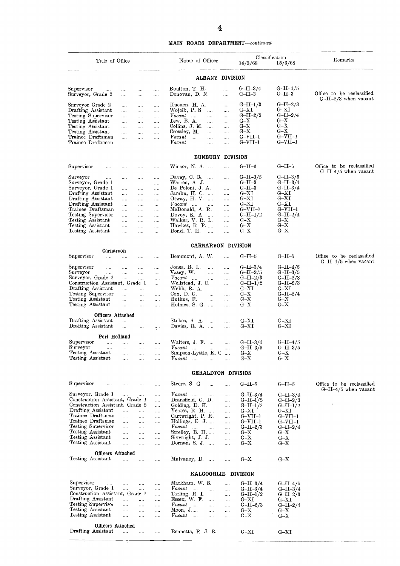#### **MAIN ROADS DEPARTMENT—continued**

|                                                                                                                                                                                                                                              |                                                                                                                                                                                                                                                                                                                                           |                                                                                                                                  |                                                                                                                                  | 4                                                                                                                                                                                                                                                                                                                                |                                                                                                                           |                                                                                                                                                |                                                     |
|----------------------------------------------------------------------------------------------------------------------------------------------------------------------------------------------------------------------------------------------|-------------------------------------------------------------------------------------------------------------------------------------------------------------------------------------------------------------------------------------------------------------------------------------------------------------------------------------------|----------------------------------------------------------------------------------------------------------------------------------|----------------------------------------------------------------------------------------------------------------------------------|----------------------------------------------------------------------------------------------------------------------------------------------------------------------------------------------------------------------------------------------------------------------------------------------------------------------------------|---------------------------------------------------------------------------------------------------------------------------|------------------------------------------------------------------------------------------------------------------------------------------------|-----------------------------------------------------|
|                                                                                                                                                                                                                                              |                                                                                                                                                                                                                                                                                                                                           |                                                                                                                                  |                                                                                                                                  | <b>MAIN ROADS DEPARTMENT</b> —continued                                                                                                                                                                                                                                                                                          |                                                                                                                           |                                                                                                                                                |                                                     |
| Title of Office                                                                                                                                                                                                                              |                                                                                                                                                                                                                                                                                                                                           |                                                                                                                                  |                                                                                                                                  | Name of Officer                                                                                                                                                                                                                                                                                                                  | 14/3/68                                                                                                                   | Classification<br>15/3/68                                                                                                                      | Remarks                                             |
|                                                                                                                                                                                                                                              |                                                                                                                                                                                                                                                                                                                                           |                                                                                                                                  |                                                                                                                                  | <b>ALBANY DIVISION</b>                                                                                                                                                                                                                                                                                                           |                                                                                                                           |                                                                                                                                                |                                                     |
| Supervisor<br><br>Surveyor, Grade 2                                                                                                                                                                                                          | $\sim 100$<br>$\cdots$                                                                                                                                                                                                                                                                                                                    | $\sim 100$<br>                                                                                                                   | $\ldots$<br>$\ldots$                                                                                                             | Boulton, T. H.<br><br>Donovan, D. N.<br>$\cdots$                                                                                                                                                                                                                                                                                 | $G-II-3/4$<br>$_{\mathrm{G-II-3}}$                                                                                        | $G-II-4/5$<br>$G-II-3$                                                                                                                         | Office to be reclassified                           |
| Surveyor Grade 2<br>Drafting Assistant<br>Testing Supervisor<br>Testing Assistant<br>Testing Assistant<br>Testing Assistant<br>Trainee Draftsman<br>Trainee Draftsman                                                                        | <br><br><br><br><br>$\cdots$<br>$\cdots$<br>$\cdots$                                                                                                                                                                                                                                                                                      | $\cdots$<br>$\cdots$<br>$\cdots$<br>$\cdots$<br>$\cdots$<br>$\cdots$<br>$\ddotsc$<br>                                            | $\cdots$<br>$\cdots$<br>$\cdots$<br>$\cdots$<br><br><br>$\cdots$<br>                                                             | Kuenen, H. A.<br><br>Wojcik, P. S.<br>$\cdots$<br>$\cdots$<br>$Vacant$<br>$\cdots$<br><br>Tew, B.A.<br>$\cdots$<br>$\cdots$<br>Collins, J. M.<br>$\cdots$<br>$\cdots$<br>Crossley, M.<br>$\cdots$<br><br>$\emph{Vacant}$<br>$\sim$<br>$\cdots$<br>$\ldots$<br>$\emph{Vacant}$<br>$\cdots$<br>$\cdots$<br>$\cdots$                | $G-II-I/3$<br>$_{\mathrm{G-XI}}$<br>$G-II-2/3$<br>$G - X$<br>$G - X$<br>$G - X$<br>$G-VII-1$<br>$G-VII-1$                 | $G-II-2/3$<br>$_{\rm G-XI}$<br>$G-II-2/4$<br>$G - X$<br>$G - X$<br>$G - X$<br>G-VII-1<br>$G-VII-1$                                             | $G-II-2/3$ when vacant                              |
|                                                                                                                                                                                                                                              |                                                                                                                                                                                                                                                                                                                                           |                                                                                                                                  |                                                                                                                                  | <b>BUNBURY DIVISION</b>                                                                                                                                                                                                                                                                                                          |                                                                                                                           |                                                                                                                                                |                                                     |
| Supervisor<br>$\ldots$                                                                                                                                                                                                                       | $\cdots$                                                                                                                                                                                                                                                                                                                                  | $\cdots$                                                                                                                         | $\cdots$                                                                                                                         | Winson, $N. A.$<br>                                                                                                                                                                                                                                                                                                              | $G-II-6$                                                                                                                  | $G-II-6$                                                                                                                                       | Office to be reclassified                           |
| Surveyor<br><br>Surveyor, Grade 1<br>Surveyor, Grade 1<br>Drafting Assistant<br>Drafting Assistant<br>Drafting Assistant<br>Trainee Draftsman<br>Testing Supervisor<br>Testing Assistant<br>Testing Assistant<br>Testing Assistant           | .<br><br><br><br><br>$\cdots$<br><br><br>$\cdots$<br><br>$\cdots$                                                                                                                                                                                                                                                                         | $\cdots$<br>$\cdots$<br>$\cdots$<br>$\cdots$<br>$\ldots$ .<br>$\cdots$<br>$\sim$<br>$\cdots$<br>$\cdots$<br>$\cdots$<br>$\cdots$ | $\sim$<br><br><br>$\ldots$ .<br>$\sim$ $\sim$ $\sim$<br>$\cdots$<br>$\ldots$ .<br>$\sim 100$<br>$\cdots$<br>$\ldots$<br>$\cdots$ | Davey, C. R. $\ldots$<br><br>Warren, A. J.<br>$\cdots$<br>De Poloni, J. A.<br><br>Jambu, H. C.<br><br>Otway, H. V.<br><br>Vacant<br>$\sim$<br>$\sim 100$<br><br>McDonald, A. R.<br><br>Dovey, K. A.<br><br>Walker, V. R. L.<br><br>Hawkes, R. P<br>$\cdots$<br>Bond, T. H.<br>$\sim$<br>.                                        | $G-II-3/5$<br>$G-II-3$<br>$G-II-3$<br>$G-XI$<br>$G-XI$<br>$G-XI$<br>$G-VII-1$<br>$G-II-I/2$<br>$G - X$<br>$G - X$<br>G–X  | $G-II-3/5$<br>$G-II-3/4$<br>$G-II-3/4$<br>$_{\rm G-XI}$<br>$_{\rm G-XI}$<br>$_{\rm G-XI}$<br>G–VII–1<br>G-II-2/4<br>$_{\rm G-X}$<br>G–X<br>G–X | $G-II-4/5$ when vacant                              |
|                                                                                                                                                                                                                                              |                                                                                                                                                                                                                                                                                                                                           |                                                                                                                                  |                                                                                                                                  | <b>CARNARVON DIVISION</b>                                                                                                                                                                                                                                                                                                        |                                                                                                                           |                                                                                                                                                |                                                     |
| Carnarvon<br>Supervisor<br>$\cdots$                                                                                                                                                                                                          | $\cdots$                                                                                                                                                                                                                                                                                                                                  | $\cdots$                                                                                                                         | $\cdots$                                                                                                                         | Beaumont, A. W.<br>                                                                                                                                                                                                                                                                                                              | $G-II-5$                                                                                                                  | $G-II-5$                                                                                                                                       | Office to be reclassified                           |
| Supervisor<br>.<br>Surveyor<br><br>Surveyor, Grade 2<br>Construction Assistant, Grade 1<br>Drafting Assistant<br>Testing Supervisor<br>Testing Assistant<br>Testing Assistant                                                                | $\cdots$<br>$\cdots$<br>$\cdots$<br>$\mathbf{r}$<br>$\cdots$<br>$\cdots$<br>$\cdots$                                                                                                                                                                                                                                                      | $\cdots$<br>$\cdots$<br>.<br><br>$\cdots$<br>$\cdots$<br>$\cdots$                                                                | $\cdots$<br>$\cdots$<br><br>$\cdots$<br>$\cdots$<br>$\cdots$<br>$\cdots$<br>$\cdots$                                             | Jones, R. L.<br><br>$\cdots$<br>Vasey, W.<br>$\cdots$<br>$\cdots$<br>Vacant<br>$\cdots$<br><br>$\cdots$<br>Wellstead, J. C.<br><br>Webb, R. A.<br>$\cdots$<br><br>$\cos$ , D.G.<br>$\cdots$<br>$\cdots$<br>Butkus, F.<br>$\cdots$<br>$\cdots$<br>Holmes, S. G.<br>                                                               | $G-II-3/4$<br>$G-II-3/5$<br>$G-II-2/3$<br>$G-II-1/2$<br>$G-XI$<br>$G - X$<br>$G - X$<br>$G - X$                           | G-II-4/5<br>G–II–3/5<br>$G$ – $II$ – $2/3$<br>$G-II-2/3$<br>$_{\rm G-XI}$<br>$G-II-2/4$<br>$G - X$<br>$G - X$                                  | $G-II-4/5$ when vacant                              |
| Officers Attached<br>Drafting Assistant                                                                                                                                                                                                      | $\cdots$                                                                                                                                                                                                                                                                                                                                  | $\cdots$                                                                                                                         | $\cdots$                                                                                                                         | Stokes, A A<br>$\cdots$                                                                                                                                                                                                                                                                                                          | $G-XI$                                                                                                                    | $_{\rm G-XI}$                                                                                                                                  |                                                     |
| Drafting Assistant                                                                                                                                                                                                                           | $\cdots$                                                                                                                                                                                                                                                                                                                                  | $\ldots$                                                                                                                         |                                                                                                                                  | Davies, R. A.<br>$\cdots$                                                                                                                                                                                                                                                                                                        | $G-XI$                                                                                                                    | $_{\mathrm{G-XI}}$                                                                                                                             |                                                     |
| Port Hedland<br>Supervisor<br>$\cdots$<br>Surveyor<br>$\cdots$<br>Testing Assistant<br>Testing Assistant                                                                                                                                     | $\cdots$<br><br>$\cdots$<br>$\cdots$                                                                                                                                                                                                                                                                                                      | $\sim 100$<br>$\cdots$<br>$\cdots$<br>$\ldots$                                                                                   | $\sim$<br>$\ldots$<br>$\cdots$<br>$\cdots$                                                                                       | Walters, $J \tF$<br>$\ddotsc$<br>$Vacant$<br>$\cdots$<br>$\cdots$<br>Simpson-Lyttle, K. C.<br>Vacant<br>$\sim$<br>$\sim$ $\sim$<br>$\cdots$                                                                                                                                                                                      | $G-II-3/4$<br>$G-II-3/5$<br>$G - X$<br>$G - X$                                                                            | $G-II-4/5$<br>$G-II-3/5$<br>$G - X$<br>$G - X$                                                                                                 |                                                     |
|                                                                                                                                                                                                                                              |                                                                                                                                                                                                                                                                                                                                           |                                                                                                                                  |                                                                                                                                  | <b>GERALDTON DIVISION</b>                                                                                                                                                                                                                                                                                                        |                                                                                                                           |                                                                                                                                                |                                                     |
| Supervisor<br>$\cdots$                                                                                                                                                                                                                       |                                                                                                                                                                                                                                                                                                                                           |                                                                                                                                  | $\sim$ . $\sim$                                                                                                                  | Steere, S. G.<br>$\sim$<br>$\cdots$                                                                                                                                                                                                                                                                                              | $G-II-5$                                                                                                                  | $G-II-5$                                                                                                                                       | Office to be reclassified<br>$G-II-4/5$ when vacant |
| Surveyor, Grade 1<br>Construction Assistant, Grade 1<br>Construction Assistant, Grade 2<br>Drafting Assistant<br>Trainee Draftsman<br>Trainee Draftsman<br>Testing Supervisor<br>Testing Assistant<br>Testing Assistant<br>Testing Assistant | <br>$\cdots$<br>$\cdots$<br>$\cdots$<br>$\cdots$<br>$\cdots$<br><br>                                                                                                                                                                                                                                                                      | $\cdots$<br>$\cdots$<br>$\cdots$<br>$\cdots$<br>$\cdots$<br>$\cdots$<br>$\cdots$<br>$\cdots$                                     | $\cdots$<br>$\cdots$<br><br>$\cdots$<br>$\cdots$<br>$\cdots$<br>$\cdots$<br>$\cdots$<br><br>                                     | Vacant<br>$\sim 100$<br>$\sim 100$<br>$\ldots$<br>Dransfield, G. D.<br>$\cdots$<br>Golding, D. H.<br><br>Yeates, R. H.<br>$\cdots$<br>Cartwright, P. R.<br>$\cdots$<br>Hollings, $E. J.$<br>$\cdots$<br>Vacant<br><b>College</b><br>$\ldots$<br>Strelley, B. H.<br><br>Sivwright, J. J.<br>$\cdots$<br>Dornan, S. J.<br>$\cdots$ | $G-II-3/4$<br>$G-II-I/2$<br>$G-II-1/2$<br>$G-XI$<br>$G-VII-1$<br>$G-VII-1$<br>$G-II-2/3$<br>$G - X$<br>$G - X$<br>$G - X$ | $G-II-3/4$<br>$G-II-2/3$<br>$G-II-I/2$<br>$G-XT$<br>$G-VII-1$<br>$G-VII-1$<br>$G-II-2/4$<br>$G - X$<br>$G - X$<br>$G - X$                      |                                                     |
| Officers Attached<br>Testing Assistant                                                                                                                                                                                                       | $\cdots$                                                                                                                                                                                                                                                                                                                                  |                                                                                                                                  |                                                                                                                                  | Mulvaney, D.<br>                                                                                                                                                                                                                                                                                                                 | $G - X$                                                                                                                   | $G - X$                                                                                                                                        |                                                     |
|                                                                                                                                                                                                                                              |                                                                                                                                                                                                                                                                                                                                           |                                                                                                                                  |                                                                                                                                  | KALGOORLIE DIVISION                                                                                                                                                                                                                                                                                                              |                                                                                                                           |                                                                                                                                                |                                                     |
| Supervisor<br>$\ldots$ .<br>Surveyor, Grade 1<br>Construction Assistant, Grade 1<br>Drafting Assistant<br>Testing Supervisor<br>Testing Assistant<br>Testing Assistant                                                                       | $\mathbf{1}_{\mathbf{1}_{\mathbf{2}}\mathbf{1}_{\mathbf{3}}\mathbf{2}_{\mathbf{4}}\mathbf{3}_{\mathbf{5}}\mathbf{4}_{\mathbf{6}}$ and $\mathbf{1}_{\mathbf{2}_{\mathbf{3}}\mathbf{3}_{\mathbf{4}}\mathbf{4}_{\mathbf{5}}\mathbf{4}_{\mathbf{6}}\mathbf{4}_{\mathbf{7}}$<br>$\sim 10^{-1}$<br>$\cdots$<br>$\cdots$<br>$\cdots$<br>$\cdots$ | $\cdots$<br>$\cdots$<br>$\cdots$<br>$\cdots$<br>$\cdots$<br>$\ldots$                                                             | $\cdots$<br>$\cdots$<br>$\cdots$<br>$\cdots$<br><br><br>$\cdots$                                                                 | Markham, W. S.<br>$\mathbf{1}$<br>Vacant<br>$\sim 10^{-1}$<br>$\ldots$<br>Tarling, R. I.<br>$\cdots$<br>Essex, W. F.<br>$\cdots$<br>$\cdots$<br>$\mathsf{V}$ <i>acant</i><br>$\cdots$<br>$\cdots$<br>Moon, J<br>$\cdots$<br>$\cdots$<br>$Vacant$<br>$\cdots$<br>$\cdots$                                                         | $G-II-3/4$<br>$G-II-3/4$<br>$G-II-1/2$<br>$G-{\rm XI}$<br>$G-II-2/3$<br>$G-X$<br>$G - X$                                  | $G-II-4/5$<br>$G-II-3/4$<br>$G-II-2/3$<br>$G - XI$<br>$G-II-2/4$<br>$G - X$<br>$G - X$                                                         |                                                     |
| <b>Officers Attached</b><br>Drafting Assistant                                                                                                                                                                                               |                                                                                                                                                                                                                                                                                                                                           | $\cdots$                                                                                                                         |                                                                                                                                  | Bennetts, R. J. R.                                                                                                                                                                                                                                                                                                               | $G-XT$                                                                                                                    | $G-XI$                                                                                                                                         |                                                     |